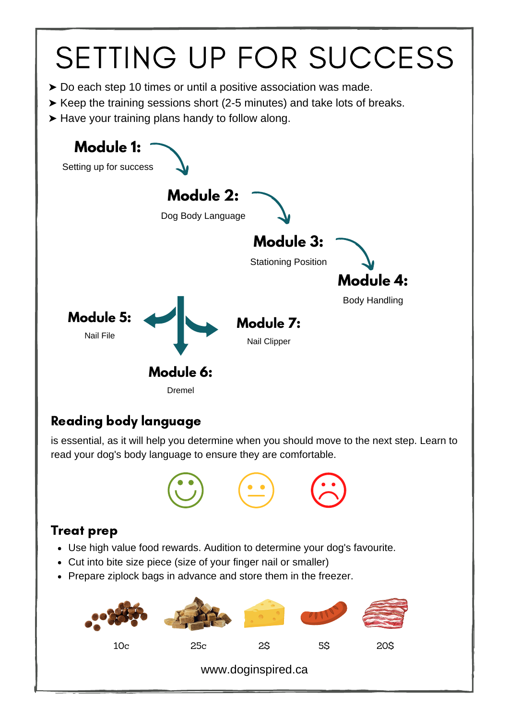# SETTING UP FOR SUCCESS

- ➤ Do each step 10 times or until a positive association was made.
- ➤ Keep the training sessions short (2-5 minutes) and take lots of breaks.
- ➤ Have your training plans handy to follow along.



## Reading body language

is essential, as it will help you determine when you should move to the next step. Learn to read your dog's body language to ensure they are comfortable.



## Treat prep

- Use high value food rewards. Audition to determine your dog's favourite.
- Cut into bite size piece (size of your finger nail or smaller)
- Prepare ziplock bags in advance and store them in the freezer.



www.doginspired.ca